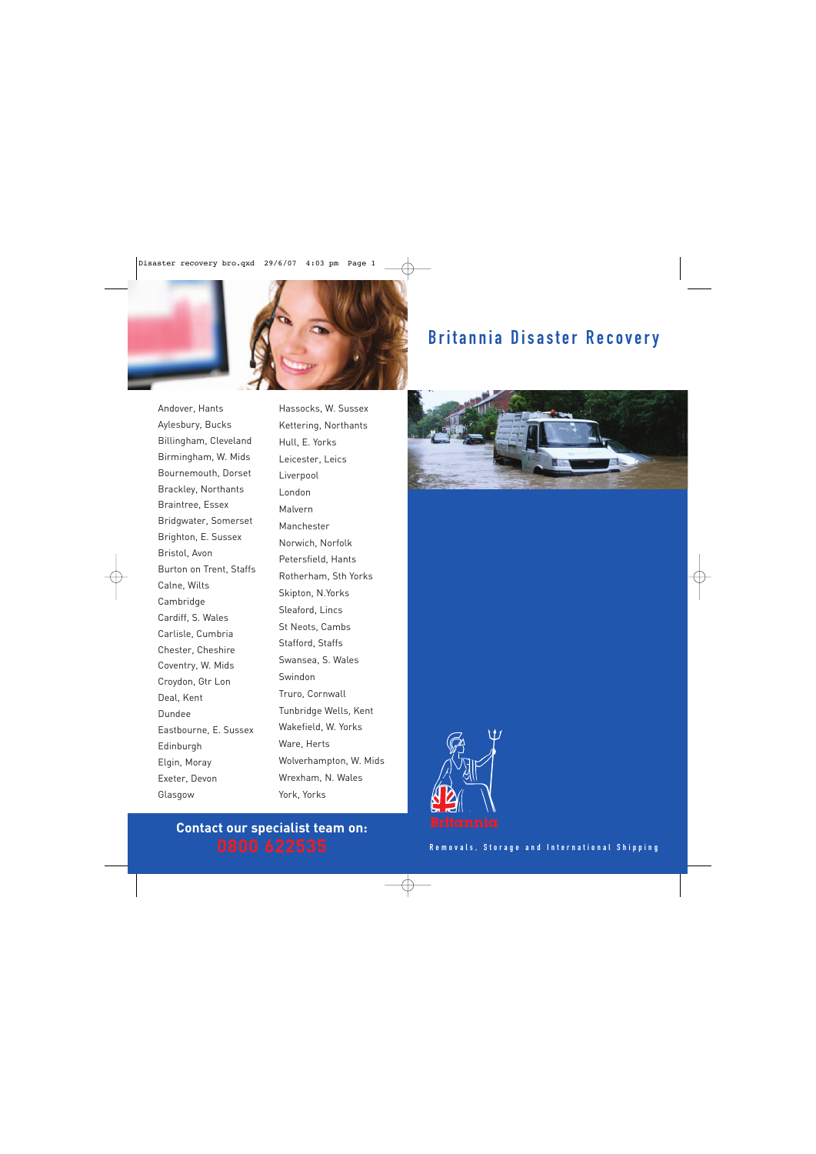

## Britannia Disaster Recovery

Andover, Hants Aylesbury, Bucks Billingham, Cleveland Birmingham, W. Mids Bournemouth, Dorset Brackley, Northants Braintree, Essex Bridgwater, Somerset Brighton, E. Sussex Bristol, Avon Burton on Trent, Staffs Calne, Wilts Cambridge Cardiff, S. Wales Carlisle, Cumbria Chester, Cheshire Coventry, W. Mids Croydon, Gtr Lon Deal, Kent Dundee Eastbourne, E. Sussex Edinburgh Elgin, Moray Exeter, Devon Glasgow

Hassocks, W. Sussex Kettering, Northants Hull, E. Yorks Leicester, Leics Liverpool London Malvern Manchester Norwich, Norfolk Petersfield, Hants Rotherham, Sth Yorks Skipton, N.Yorks Sleaford, Lincs St Neots, Cambs Stafford, Staffs Swansea, S. Wales Swindon Truro, Cornwall Tunbridge Wells, Kent Wakefield, W. Yorks Ware, Herts Wolverhampton, W. Mids Wrexham, N. Wales York, Yorks